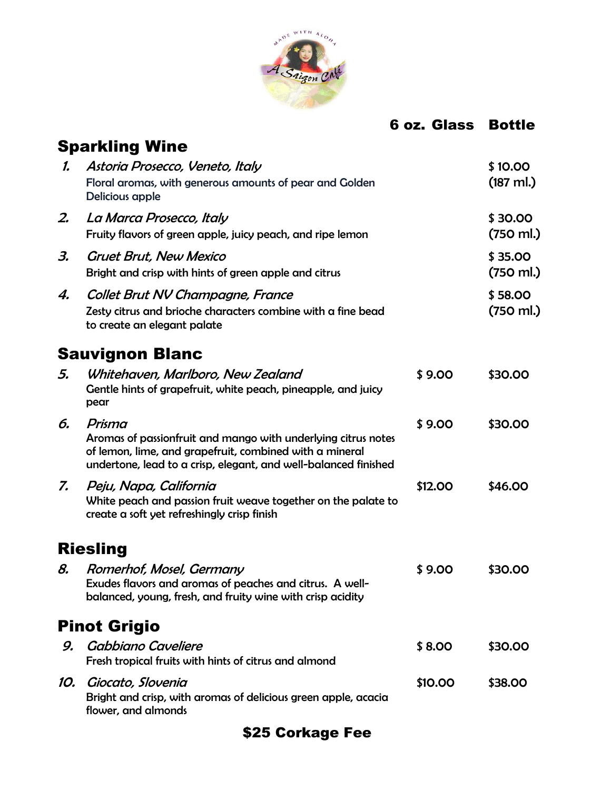

# 6 oz. Glass Bottle

|               | <b>Sparkling Wine</b>                                                                                                                                                                                 |         |                                |
|---------------|-------------------------------------------------------------------------------------------------------------------------------------------------------------------------------------------------------|---------|--------------------------------|
| $\mathcal{L}$ | Astoria Prosecco, Veneto, Italy<br>Floral aromas, with generous amounts of pear and Golden<br>Delicious apple                                                                                         |         | \$10.00<br>$(187 \text{ ml.})$ |
| 2.            | La Marca Prosecco, Italy<br>Fruity flavors of green apple, juicy peach, and ripe lemon                                                                                                                |         | \$30.00<br>(750 ml.)           |
| З.            | <b>Gruet Brut, New Mexico</b><br>Bright and crisp with hints of green apple and citrus                                                                                                                |         | \$35.00<br>(750 ml.)           |
| 4.            | Collet Brut NV Champagne, France<br>Zesty citrus and brioche characters combine with a fine bead<br>to create an elegant palate                                                                       |         | \$58.00<br>(750 ml.)           |
|               | <b>Sauvignon Blanc</b>                                                                                                                                                                                |         |                                |
| 5.            | Whitehaven, Marlboro, New Zealand<br>Gentle hints of grapefruit, white peach, pineapple, and juicy<br>pear                                                                                            | \$9.00  | \$30.00                        |
| 6.            | Prisma<br>Aromas of passionfruit and mango with underlying citrus notes<br>of lemon, lime, and grapefruit, combined with a mineral<br>undertone, lead to a crisp, elegant, and well-balanced finished | \$9.00  | \$30.00                        |
| 7.            | Peju, Napa, California<br>White peach and passion fruit weave together on the palate to<br>create a soft yet refreshingly crisp finish                                                                | \$12.00 | \$46.00                        |
|               | <b>Riesling</b>                                                                                                                                                                                       |         |                                |
| 8.            | Romerhof, Mosel, Germany<br>Exudes flavors and aromas of peaches and citrus. A well-<br>balanced, young, fresh, and fruity wine with crisp acidity                                                    | \$9.00  | \$30.00                        |
|               | <b>Pinot Grigio</b>                                                                                                                                                                                   |         |                                |
| 9.            | Gabbiano Caveliere<br>Fresh tropical fruits with hints of citrus and almond                                                                                                                           | \$8.00  | \$30.00                        |
| 10.           | Giocato, Slovenia<br>Bright and crisp, with aromas of delicious green apple, acacia<br>flower, and almonds                                                                                            | \$10.00 | <b>\$38.00</b>                 |

# \$25 Corkage Fee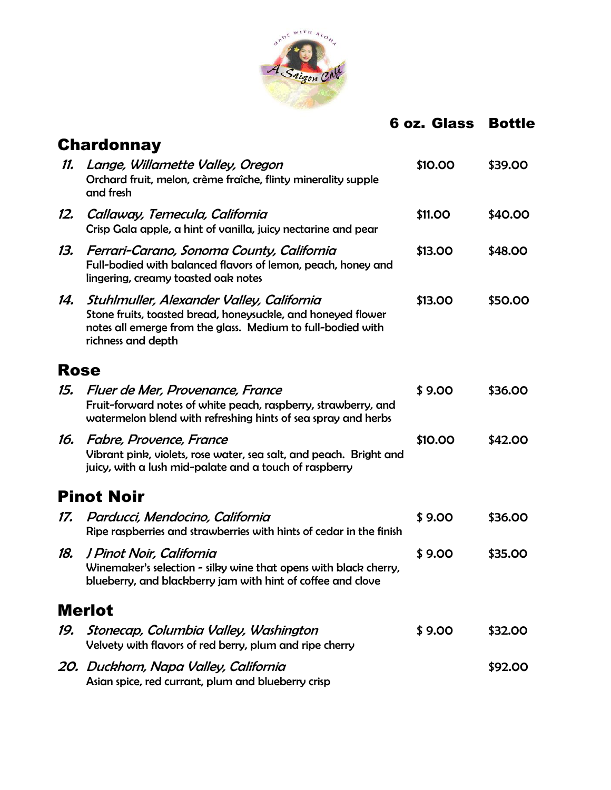

### 6 oz. Glass Bottle

|             | <b>Chardonnay</b>                                                                                                                                                                              |         |         |
|-------------|------------------------------------------------------------------------------------------------------------------------------------------------------------------------------------------------|---------|---------|
| 11.         | Lange, Willamette Valley, Oregon<br>Orchard fruit, melon, crème fraîche, flinty minerality supple<br>and fresh                                                                                 | \$10.00 | \$39.00 |
| 12.         | Callaway, Temecula, California<br>Crisp Gala apple, a hint of vanilla, juicy nectarine and pear                                                                                                | \$11.00 | \$40.00 |
| 13.         | Ferrari-Carano, Sonoma County, California<br>Full-bodied with balanced flavors of lemon, peach, honey and<br>lingering, creamy toasted oak notes                                               | \$13.00 | \$48.00 |
| 14.         | Stuhlmuller, Alexander Valley, California<br>Stone fruits, toasted bread, honeysuckle, and honeyed flower<br>notes all emerge from the glass. Medium to full-bodied with<br>richness and depth | \$13.00 | \$50.00 |
| <b>Rose</b> |                                                                                                                                                                                                |         |         |
| 15.         | Fluer de Mer, Provenance, France<br>Fruit-forward notes of white peach, raspberry, strawberry, and<br>watermelon blend with refreshing hints of sea spray and herbs                            | \$9.00  | \$36.00 |
| 16.         | <b>Fabre, Provence, France</b><br>Vibrant pink, violets, rose water, sea salt, and peach. Bright and<br>juicy, with a lush mid-palate and a touch of raspberry                                 | \$10.00 | \$42.00 |
|             | <b>Pinot Noir</b>                                                                                                                                                                              |         |         |
| 17.         | Parducci, Mendocino, California<br>Ripe raspberries and strawberries with hints of cedar in the finish                                                                                         | \$9.00  | \$36.00 |
| 18.         | J Pinot Noir, California<br>Winemaker's selection - silky wine that opens with black cherry,<br>blueberry, and blackberry jam with hint of coffee and clove                                    | \$9.00  | \$35.00 |
|             | <b>Merlot</b>                                                                                                                                                                                  |         |         |
| 19.         | Stonecap, Columbia Valley, Washington<br>Velvety with flavors of red berry, plum and ripe cherry                                                                                               | \$9.00  | \$32.00 |
|             | 20. Duckhorn, Napa Valley, California<br>Asian spice, red currant, plum and blueberry crisp                                                                                                    |         | \$92.00 |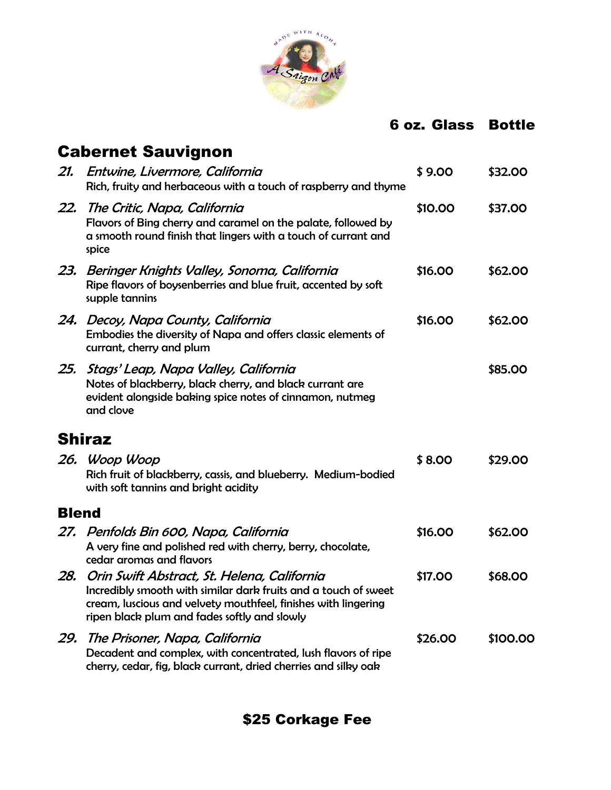

### 6 oz. Glass Bottle

|       | Cabernet Sauvignon                                                                                                                                                                                                               |         |          |
|-------|----------------------------------------------------------------------------------------------------------------------------------------------------------------------------------------------------------------------------------|---------|----------|
| 21.   | Entwine, Livermore, California<br>Rich, fruity and herbaceous with a touch of raspberry and thyme                                                                                                                                | \$9.00  | \$32.00  |
|       | 22. The Critic, Napa, California<br>Flavors of Bing cherry and caramel on the palate, followed by<br>a smooth round finish that lingers with a touch of currant and<br>spice                                                     | \$10.00 | \$37.00  |
| 23.   | Beringer Knights Valley, Sonoma, California<br>Ripe flavors of boysenberries and blue fruit, accented by soft<br>supple tannins                                                                                                  | \$16.00 | \$62.00  |
|       | 24. Decoy, Napa County, California<br>Embodies the diversity of Napa and offers classic elements of<br>currant, cherry and plum                                                                                                  | \$16.00 | \$62.00  |
| 25.   | Stags' Leap, Napa Valley, California<br>Notes of blackberry, black cherry, and black currant are<br>evident alongside baking spice notes of cinnamon, nutmeg<br>and clove                                                        |         | \$85.00  |
|       | Shiraz                                                                                                                                                                                                                           |         |          |
|       | 26. Woop Woop<br>Rich fruit of blackberry, cassis, and blueberry. Medium-bodied<br>with soft tannins and bright acidity                                                                                                          | \$8.00  | \$29.00  |
| Blend |                                                                                                                                                                                                                                  |         |          |
|       | 27.   Penfolds Bin 600, Napa, California<br>A very fine and polished red with cherry, berry, chocolate,<br>cedar aromas and flavors                                                                                              | \$16.00 | \$62.00  |
| 28.   | Orin Swift Abstract, St. Helena, California<br>Incredibly smooth with similar dark fruits and a touch of sweet<br>cream, luscious and velvety mouthfeel, finishes with lingering<br>ripen black plum and fades softly and slowly | \$17.00 | \$68.00  |
| 29.   | The Prisoner, Napa, California<br>Decadent and complex, with concentrated, lush flavors of ripe<br>cherry, cedar, fig, black currant, dried cherries and silky oak                                                               | \$26.00 | \$100.00 |

\$25 Corkage Fee